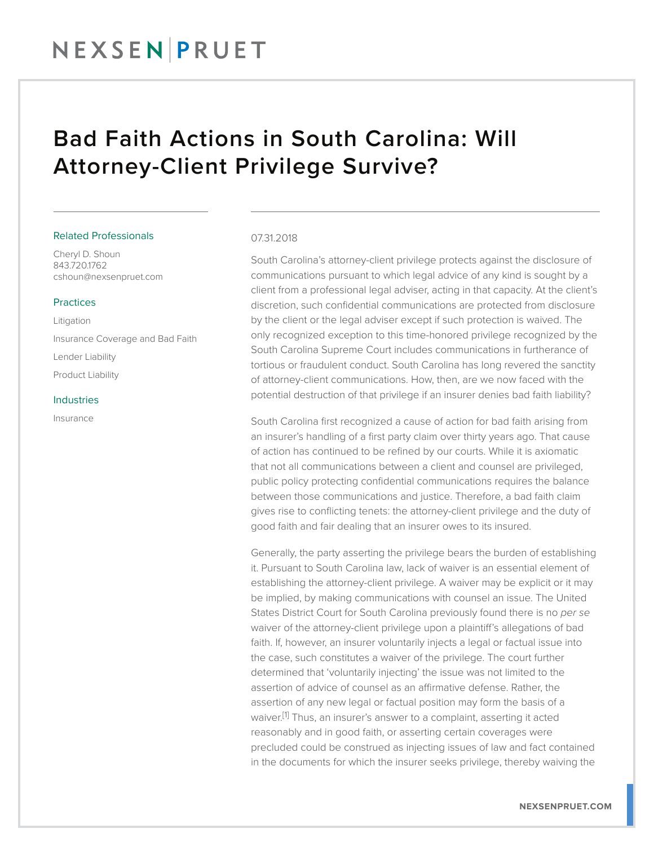### NEXSENPRUET

### Bad Faith Actions in South Carolina: Will Attorney-Client Privilege Survive?

#### Related Professionals

Cheryl D. Shoun 843.720.1762 cshoun@nexsenpruet.com

#### Practices

Litigation Insurance Coverage and Bad Faith Lender Liability Product Liability

#### Industries

Insurance

#### 07.31.2018

South Carolina's attorney-client privilege protects against the disclosure of communications pursuant to which legal advice of any kind is sought by a client from a professional legal adviser, acting in that capacity. At the client's discretion, such confidential communications are protected from disclosure by the client or the legal adviser except if such protection is waived. The only recognized exception to this time-honored privilege recognized by the South Carolina Supreme Court includes communications in furtherance of tortious or fraudulent conduct. South Carolina has long revered the sanctity of attorney-client communications. How, then, are we now faced with the potential destruction of that privilege if an insurer denies bad faith liability?

South Carolina first recognized a cause of action for bad faith arising from an insurer's handling of a first party claim over thirty years ago. That cause of action has continued to be refined by our courts. While it is axiomatic that not all communications between a client and counsel are privileged, public policy protecting confidential communications requires the balance between those communications and justice. Therefore, a bad faith claim gives rise to conflicting tenets: the attorney-client privilege and the duty of good faith and fair dealing that an insurer owes to its insured.

Generally, the party asserting the privilege bears the burden of establishing it. Pursuant to South Carolina law, lack of waiver is an essential element of establishing the attorney-client privilege. A waiver may be explicit or it may be implied, by making communications with counsel an issue. The United States District Court for South Carolina previously found there is no *per se* waiver of the attorney-client privilege upon a plaintiff's allegations of bad faith. If, however, an insurer voluntarily injects a legal or factual issue into the case, such constitutes a waiver of the privilege. The court further determined that 'voluntarily injecting' the issue was not limited to the assertion of advice of counsel as an affirmative defense. Rather, the assertion of any new legal or factual position may form the basis of a waiver.<sup>[1]</sup> Thus, an insurer's answer to a complaint, asserting it acted reasonably and in good faith, or asserting certain coverages were precluded could be construed as injecting issues of law and fact contained in the documents for which the insurer seeks privilege, thereby waiving the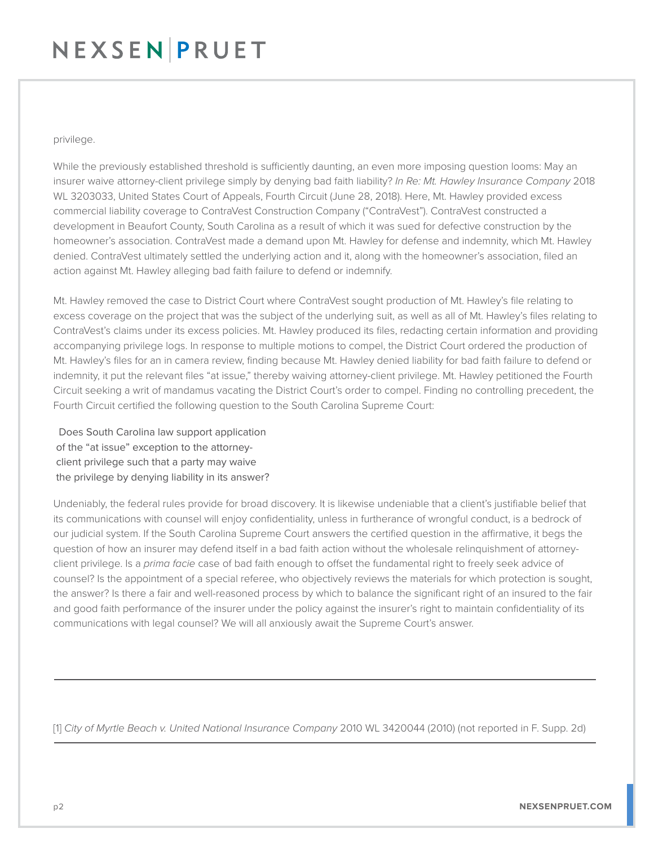# NEXSENPRUET

#### privilege.

While the previously established threshold is sufficiently daunting, an even more imposing question looms: May an insurer waive attorney-client privilege simply by denying bad faith liability? *In Re: Mt. Hawley Insurance Company* 2018 WL 3203033, United States Court of Appeals, Fourth Circuit (June 28, 2018). Here, Mt. Hawley provided excess commercial liability coverage to ContraVest Construction Company ("ContraVest"). ContraVest constructed a development in Beaufort County, South Carolina as a result of which it was sued for defective construction by the homeowner's association. ContraVest made a demand upon Mt. Hawley for defense and indemnity, which Mt. Hawley denied. ContraVest ultimately settled the underlying action and it, along with the homeowner's association, filed an action against Mt. Hawley alleging bad faith failure to defend or indemnify.

Mt. Hawley removed the case to District Court where ContraVest sought production of Mt. Hawley's file relating to excess coverage on the project that was the subject of the underlying suit, as well as all of Mt. Hawley's files relating to ContraVest's claims under its excess policies. Mt. Hawley produced its files, redacting certain information and providing accompanying privilege logs. In response to multiple motions to compel, the District Court ordered the production of Mt. Hawley's files for an in camera review, finding because Mt. Hawley denied liability for bad faith failure to defend or indemnity, it put the relevant files "at issue," thereby waiving attorney-client privilege. Mt. Hawley petitioned the Fourth Circuit seeking a writ of mandamus vacating the District Court's order to compel. Finding no controlling precedent, the Fourth Circuit certified the following question to the South Carolina Supreme Court:

 Does South Carolina law support application of the "at issue" exception to the attorney client privilege such that a party may waive the privilege by denying liability in its answer?

Undeniably, the federal rules provide for broad discovery. It is likewise undeniable that a client's justifiable belief that its communications with counsel will enjoy confidentiality, unless in furtherance of wrongful conduct, is a bedrock of our judicial system. If the South Carolina Supreme Court answers the certified question in the affirmative, it begs the question of how an insurer may defend itself in a bad faith action without the wholesale relinquishment of attorneyclient privilege. Is a *prima facie* case of bad faith enough to offset the fundamental right to freely seek advice of counsel? Is the appointment of a special referee, who objectively reviews the materials for which protection is sought, the answer? Is there a fair and well-reasoned process by which to balance the significant right of an insured to the fair and good faith performance of the insurer under the policy against the insurer's right to maintain confidentiality of its communications with legal counsel? We will all anxiously await the Supreme Court's answer.

[1] *City of Myrtle Beach v. United National Insurance Company* 2010 WL 3420044 (2010) (not reported in F. Supp. 2d)

J